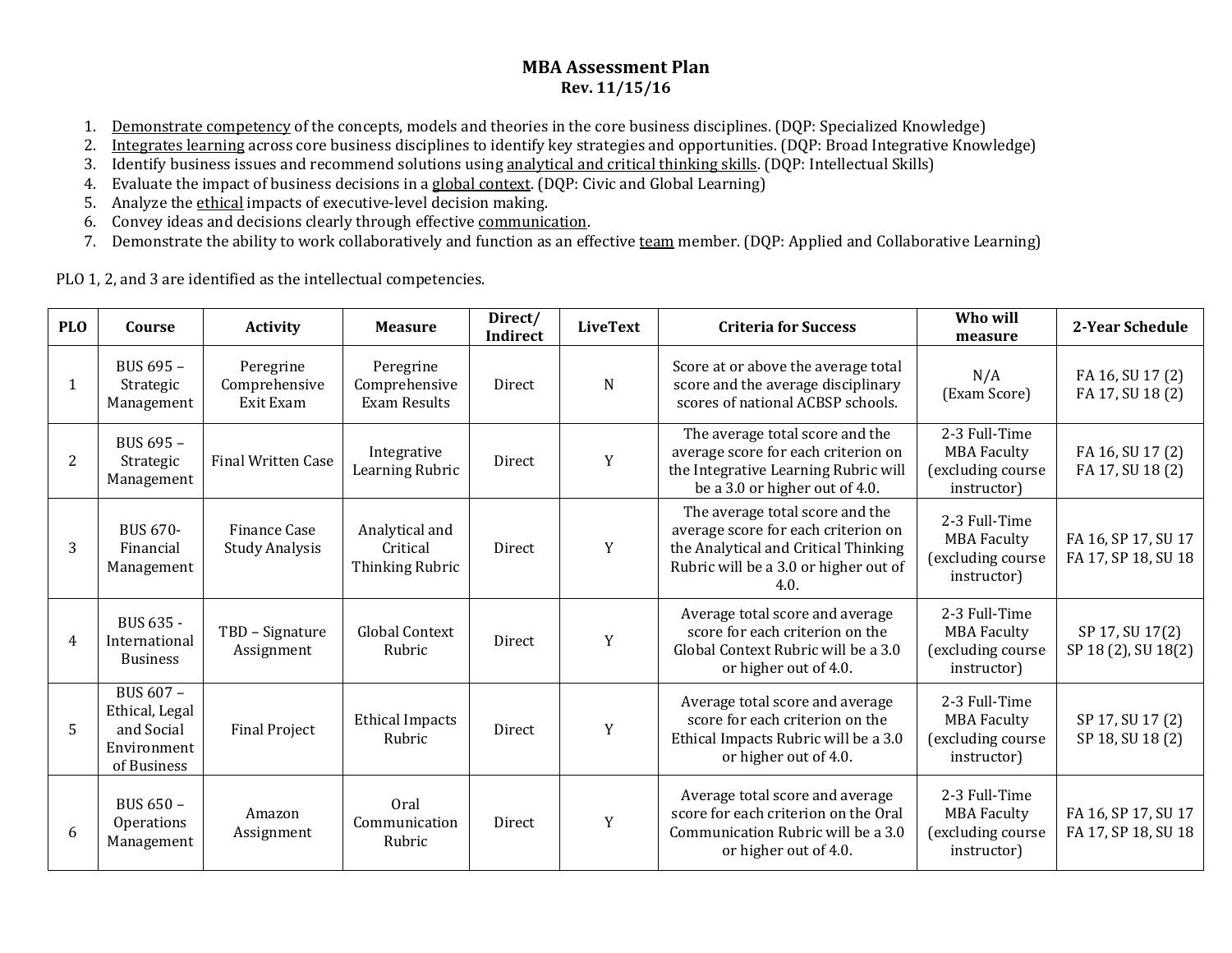## **MBA Assessment Plan Rev. 11/15/16**

- 1. Demonstrate competency of the concepts, models and theories in the core business disciplines. (DQP: Specialized Knowledge)
- 2. Integrates learning across core business disciplines to identify key strategies and opportunities. (DQP: Broad Integrative Knowledge)
- 3. Identify business issues and recommend solutions using <u>analytical and critical thinking skills</u>. (DQP: Intellectual Skills)
- 4. Evaluate the impact of business decisions in a <u>global context</u>. (DQP: Civic and Global Learning)
- 5. Analyze the <u>ethical</u> impacts of executive-level decision making.
- 6. Convey ideas and decisions clearly through effective <u>communication</u>.
- 7. Demonstrate the ability to work collaboratively and function as an effective <u>team</u> member. (DQP: Applied and Collaborative Learning)

PLO 1, 2, and 3 are identified as the intellectual competencies.

| <b>PLO</b> | Course                                                                  | <b>Activity</b>                         | <b>Measure</b>                                | Direct/<br>Indirect | <b>LiveText</b> | <b>Criteria for Success</b>                                                                                                                                     | Who will<br>measure                                                     | 2-Year Schedule                            |
|------------|-------------------------------------------------------------------------|-----------------------------------------|-----------------------------------------------|---------------------|-----------------|-----------------------------------------------------------------------------------------------------------------------------------------------------------------|-------------------------------------------------------------------------|--------------------------------------------|
| -1         | BUS 695 -<br>Strategic<br>Management                                    | Peregrine<br>Comprehensive<br>Exit Exam | Peregrine<br>Comprehensive<br>Exam Results    | Direct              | N               | Score at or above the average total<br>score and the average disciplinary<br>scores of national ACBSP schools.                                                  | N/A<br>(Exam Score)                                                     | FA 16, SU 17 (2)<br>FA 17, SU 18 (2)       |
| 2          | BUS 695 -<br>Strategic<br>Management                                    | <b>Final Written Case</b>               | Integrative<br>Learning Rubric                | Direct              | Y               | The average total score and the<br>average score for each criterion on<br>the Integrative Learning Rubric will<br>be a 3.0 or higher out of 4.0.                | 2-3 Full-Time<br><b>MBA Faculty</b><br>(excluding course<br>instructor) | FA 16, SU 17 (2)<br>FA 17, SU 18 (2)       |
| 3          | <b>BUS 670-</b><br>Financial<br>Management                              | Finance Case<br><b>Study Analysis</b>   | Analytical and<br>Critical<br>Thinking Rubric | Direct              | Y               | The average total score and the<br>average score for each criterion on<br>the Analytical and Critical Thinking<br>Rubric will be a 3.0 or higher out of<br>4.0. | 2-3 Full-Time<br><b>MBA Faculty</b><br>(excluding course<br>instructor) | FA 16, SP 17, SU 17<br>FA 17, SP 18, SU 18 |
| 4          | BUS 635 -<br>International<br><b>Business</b>                           | TBD - Signature<br>Assignment           | <b>Global Context</b><br>Rubric               | Direct              | Y               | Average total score and average<br>score for each criterion on the<br>Global Context Rubric will be a 3.0<br>or higher out of 4.0.                              | 2-3 Full-Time<br><b>MBA Faculty</b><br>(excluding course<br>instructor) | SP 17, SU 17(2)<br>SP 18 (2), SU 18(2)     |
| 5          | BUS 607 -<br>Ethical, Legal<br>and Social<br>Environment<br>of Business | <b>Final Project</b>                    | <b>Ethical Impacts</b><br>Rubric              | Direct              | Y               | Average total score and average<br>score for each criterion on the<br>Ethical Impacts Rubric will be a 3.0<br>or higher out of 4.0.                             | 2-3 Full-Time<br><b>MBA Faculty</b><br>(excluding course<br>instructor) | SP 17, SU 17 (2)<br>SP 18, SU 18 (2)       |
| 6          | BUS 650 -<br>Operations<br>Management                                   | Amazon<br>Assignment                    | Oral<br>Communication<br>Rubric               | Direct              | Y               | Average total score and average<br>score for each criterion on the Oral<br>Communication Rubric will be a 3.0<br>or higher out of 4.0.                          | 2-3 Full-Time<br><b>MBA Faculty</b><br>(excluding course<br>instructor) | FA 16, SP 17, SU 17<br>FA 17, SP 18, SU 18 |